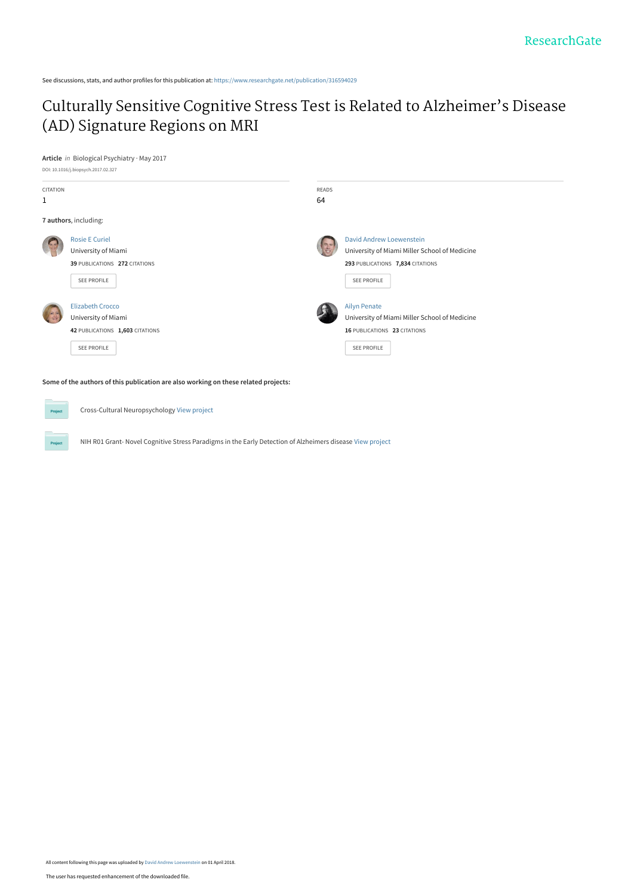See discussions, stats, and author profiles for this publication at: [https://www.researchgate.net/publication/316594029](https://www.researchgate.net/publication/316594029_Culturally_Sensitive_Cognitive_Stress_Test_is_Related_to_Alzheimer%27s_Disease_AD_Signature_Regions_on_MRI?enrichId=rgreq-47356dde8a0e00b412adf43b324ab986-XXX&enrichSource=Y292ZXJQYWdlOzMxNjU5NDAyOTtBUzo2MTA2NjY3NDIyODgzODRAMTUyMjYwNTcwNTk3OA%3D%3D&el=1_x_2&_esc=publicationCoverPdf)

# [Culturally Sensitive Cognitive Stress Test is Related to Alzheimer's Disease](https://www.researchgate.net/publication/316594029_Culturally_Sensitive_Cognitive_Stress_Test_is_Related_to_Alzheimer%27s_Disease_AD_Signature_Regions_on_MRI?enrichId=rgreq-47356dde8a0e00b412adf43b324ab986-XXX&enrichSource=Y292ZXJQYWdlOzMxNjU5NDAyOTtBUzo2MTA2NjY3NDIyODgzODRAMTUyMjYwNTcwNTk3OA%3D%3D&el=1_x_3&_esc=publicationCoverPdf) (AD) Signature Regions on MRI

#### **Article** in Biological Psychiatry · May 2017



**Some of the authors of this publication are also working on these related projects:**

Cross-Cultural Neuropsychology [View project](https://www.researchgate.net/project/Cross-Cultural-Neuropsychology?enrichId=rgreq-47356dde8a0e00b412adf43b324ab986-XXX&enrichSource=Y292ZXJQYWdlOzMxNjU5NDAyOTtBUzo2MTA2NjY3NDIyODgzODRAMTUyMjYwNTcwNTk3OA%3D%3D&el=1_x_9&_esc=publicationCoverPdf)

Project

NIH R01 Grant- Novel Cognitive Stress Paradigms in the Early Detection of Alzheimers disease [View project](https://www.researchgate.net/project/NIH-R01-Grant-Novel-Cognitive-Stress-Paradigms-in-the-Early-Detection-of-Alzheimers-disease?enrichId=rgreq-47356dde8a0e00b412adf43b324ab986-XXX&enrichSource=Y292ZXJQYWdlOzMxNjU5NDAyOTtBUzo2MTA2NjY3NDIyODgzODRAMTUyMjYwNTcwNTk3OA%3D%3D&el=1_x_9&_esc=publicationCoverPdf)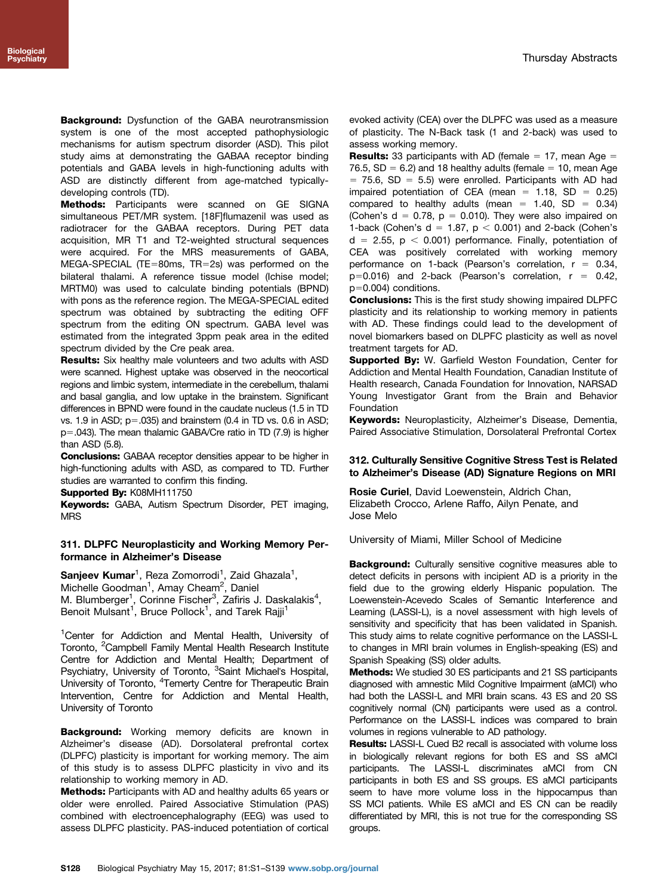**Background:** Dysfunction of the GABA neurotransmission system is one of the most accepted pathophysiologic mechanisms for autism spectrum disorder (ASD). This pilot study aims at demonstrating the GABAA receptor binding potentials and GABA levels in high-functioning adults with ASD are distinctly different from age-matched typicallydeveloping controls (TD).

Methods: Participants were scanned on GE SIGNA simultaneous PET/MR system. [18F]flumazenil was used as radiotracer for the GABAA receptors. During PET data acquisition, MR T1 and T2-weighted structural sequences were acquired. For the MRS measurements of GABA, MEGA-SPECIAL (TE=80ms, TR=2s) was performed on the bilateral thalami. A reference tissue model (Ichise model; MRTM0) was used to calculate binding potentials (BPND) with pons as the reference region. The MEGA-SPECIAL edited spectrum was obtained by subtracting the editing OFF spectrum from the editing ON spectrum. GABA level was estimated from the integrated 3ppm peak area in the edited spectrum divided by the Cre peak area.

Results: Six healthy male volunteers and two adults with ASD were scanned. Highest uptake was observed in the neocortical regions and limbic system, intermediate in the cerebellum, thalami and basal ganglia, and low uptake in the brainstem. Significant differences in BPND were found in the caudate nucleus (1.5 in TD vs. 1.9 in ASD;  $p=.035$ ) and brainstem (0.4 in TD vs. 0.6 in ASD; p=.043). The mean thalamic GABA/Cre ratio in TD (7.9) is higher than  $ASD(5.8)$ .

Conclusions: GABAA receptor densities appear to be higher in high-functioning adults with ASD, as compared to TD. Further studies are warranted to confirm this finding.

Supported By: K08MH111750

Keywords: GABA, Autism Spectrum Disorder, PET imaging, MRS

### 311. DLPFC Neuroplasticity and Working Memory Performance in Alzheimer's Disease

Sanjeev Kumar<sup>1</sup>, Reza Zomorrodi<sup>1</sup>, Zaid Ghazala<sup>1</sup>, Michelle Goodman<sup>1</sup>, Amay Cheam<sup>2</sup>, Daniel M. Blumberger<sup>1</sup>, Corinne Fischer<sup>3</sup>, Zafiris J. Daskalakis<sup>4</sup>, Benoit Mulsant<sup>1</sup>, Bruce Pollock<sup>1</sup>, and Tarek Rajji<sup>1</sup>

<sup>1</sup>Center for Addiction and Mental Health, University of Toronto, <sup>2</sup>Campbell Family Mental Health Research Institute Centre for Addiction and Mental Health; Department of Psychiatry, University of Toronto, <sup>3</sup>Saint Michael's Hospital, University of Toronto, <sup>4</sup>Temerty Centre for Therapeutic Brain Intervention, Centre for Addiction and Mental Health, University of Toronto

**Background:** Working memory deficits are known in Alzheimer's disease (AD). Dorsolateral prefrontal cortex (DLPFC) plasticity is important for working memory. The aim of this study is to assess DLPFC plasticity in vivo and its relationship to working memory in AD.

Methods: Participants with AD and healthy adults 65 years or older were enrolled. Paired Associative Stimulation (PAS) combined with electroencephalography (EEG) was used to assess DLPFC plasticity. PAS-induced potentiation of cortical evoked activity (CEA) over the DLPFC was used as a measure of plasticity. The N-Back task (1 and 2-back) was used to assess working memory.

**Results:** 33 participants with AD (female  $= 17$ , mean Age  $=$ 76.5,  $SD = 6.2$ ) and 18 healthy adults (female  $= 10$ , mean Age  $= 75.6$ , SD  $= 5.5$ ) were enrolled. Participants with AD had impaired potentiation of CEA (mean =  $1.18$ , SD = 0.25) compared to healthy adults (mean =  $1.40$ , SD =  $0.34$ ) (Cohen's  $d = 0.78$ ,  $p = 0.010$ ). They were also impaired on 1-back (Cohen's  $d = 1.87$ ,  $p < 0.001$ ) and 2-back (Cohen's  $d = 2.55$ ,  $p < 0.001$ ) performance. Finally, potentiation of CEA was positively correlated with working memory performance on 1-back (Pearson's correlation,  $r = 0.34$ ,  $p=0.016$ ) and 2-back (Pearson's correlation,  $r = 0.42$ ,  $p=0.004$ ) conditions.

Conclusions: This is the first study showing impaired DLPFC plasticity and its relationship to working memory in patients with AD. These findings could lead to the development of novel biomarkers based on DLPFC plasticity as well as novel treatment targets for AD.

Supported By: W. Garfield Weston Foundation, Center for Addiction and Mental Health Foundation, Canadian Institute of Health research, Canada Foundation for Innovation, NARSAD Young Investigator Grant from the Brain and Behavior Foundation

Keywords: Neuroplasticity, Alzheimer's Disease, Dementia, Paired Associative Stimulation, Dorsolateral Prefrontal Cortex

## 312. Culturally Sensitive Cognitive Stress Test is Related to Alzheimer's Disease (AD) Signature Regions on MRI

Rosie Curiel, David Loewenstein, Aldrich Chan, Elizabeth Crocco, Arlene Raffo, Ailyn Penate, and Jose Melo

University of Miami, Miller School of Medicine

**Background:** Culturally sensitive cognitive measures able to detect deficits in persons with incipient AD is a priority in the field due to the growing elderly Hispanic population. The Loewenstein-Acevedo Scales of Semantic Interference and Learning (LASSI-L), is a novel assessment with high levels of sensitivity and specificity that has been validated in Spanish. This study aims to relate cognitive performance on the LASSI-L to changes in MRI brain volumes in English-speaking (ES) and Spanish Speaking (SS) older adults.

Methods: We studied 30 ES participants and 21 SS participants diagnosed with amnestic Mild Cognitive Impairment (aMCI) who had both the LASSI-L and MRI brain scans. 43 ES and 20 SS cognitively normal (CN) participants were used as a control. Performance on the LASSI-L indices was compared to brain volumes in regions vulnerable to AD pathology.

Results: LASSI-L Cued B2 recall is associated with volume loss in biologically relevant regions for both ES and SS aMCI participants. The LASSI-L discriminates aMCI from CN participants in both ES and SS groups. ES aMCI participants seem to have more volume loss in the hippocampus than SS MCI patients. While ES aMCI and ES CN can be readily differentiated by MRI, this is not true for the corresponding SS groups.